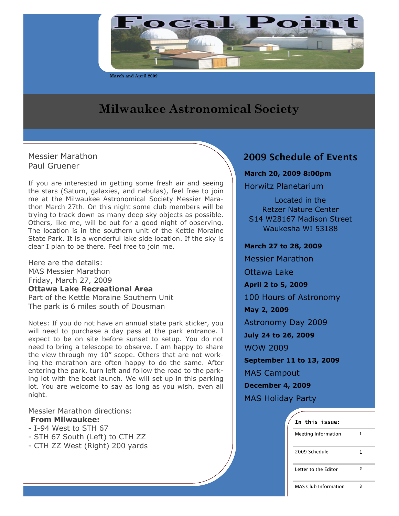

**March and April 2009**

# **Milwaukee Astronomical Society**

Messier Marathon Paul Gruener

If you are interested in getting some fresh air and seeing the stars (Saturn, galaxies, and nebulas), feel free to join me at the Milwaukee Astronomical Society Messier Marathon March 27th. On this night some club members will be trying to track down as many deep sky objects as possible. Others, like me, will be out for a good night of observing. The location is in the southern unit of the Kettle Moraine State Park. It is a wonderful lake side location. If the sky is clear I plan to be there. Feel free to join me.

Here are the details: MAS Messier Marathon Friday, March 27, 2009 **Ottawa Lake Recreational Area** Part of the Kettle Moraine Southern Unit The park is 6 miles south of Dousman

Notes: If you do not have an annual state park sticker, you will need to purchase a day pass at the park entrance. I expect to be on site before sunset to setup. You do not need to bring a telescope to observe. I am happy to share the view through my 10" scope. Others that are not working the marathon are often happy to do the same. After entering the park, turn left and follow the road to the parking lot with the boat launch. We will set up in this parking lot. You are welcome to say as long as you wish, even all night.

Messier Marathon directions: **From Milwaukee:**

- I-94 West to STH 67
- STH 67 South (Left) to CTH ZZ
- CTH ZZ West (Right) 200 yards

# **2009 Schedule of Events**

**March 20, 2009 8:00pm**

Horwitz Planetarium

Located in the Retzer Nature Center S14 W28167 Madison Street Waukesha WI 53188

**March 27 to 28, 2009**

Messier Marathon

Ottawa Lake

**April 2 to 5, 2009**

100 Hours of Astronomy

**May 2, 2009**

Astronomy Day 2009

**July 24 to 26, 2009**

WOW 2009

**September 11 to 13, 2009**

MAS Campout

**December 4, 2009**

MAS Holiday Party

# **In this issue:**

| <b>Meeting Information</b>  |   |  |
|-----------------------------|---|--|
| 2009 Schedule               | 1 |  |
| Letter to the Editor        | 2 |  |
| <b>MAS Club Information</b> |   |  |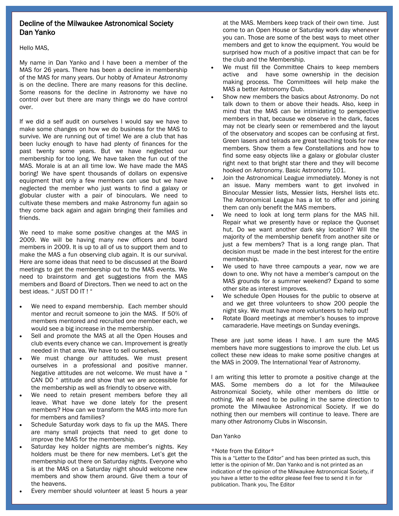# Decline of the Milwaukee Astronomical Society Dan Yanko

Hello MAS,

My name in Dan Yanko and I have been a member of the MAS for 26 years. There has been a decline in membership of the MAS for many years. Our hobby of Amateur Astronomy is on the decline. There are many reasons for this decline. Some reasons for the decline in Astronomy we have no control over but there are many things we do have control over.

If we did a self audit on ourselves I would say we have to make some changes on how we do business for the MAS to survive. We are running out of time! We are a club that has been lucky enough to have had plenty of finances for the past twenty some years. But we have neglected our membership for too long. We have taken the fun out of the MAS. Morale is at an all time low. We have made the MAS boring! We have spent thousands of dollars on expensive equipment that only a few members can use but we have neglected the member who just wants to find a galaxy or globular cluster with a pair of binoculars. We need to cultivate these members and make Astronomy fun again so they come back again and again bringing their families and friends.

We need to make some positive changes at the MAS in 2009. We will be having many new officers and board members in 2009. It is up to all of us to support them and to make the MAS a fun observing club again. It is our survival. Here are some ideas that need to be discussed at the Board meetings to get the membership out to the MAS events. We need to brainstorm and get suggestions from the MAS members and Board of Directors. Then we need to act on the best ideas. " JUST DO IT ! "

- We need to expand membership. Each member should mentor and recruit someone to join the MAS. If 50% of members mentored and recruited one member each, we would see a big increase in the membership.
- Sell and promote the MAS at all the Open Houses and club events every chance we can. Improvement is greatly needed in that area. We have to sell ourselves.
- We must change our attitudes. We must present ourselves in a professional and positive manner. Negative attitudes are not welcome. We must have a " CAN DO " attitude and show that we are accessible for the membership as well as friendly to observe with.
- We need to retain present members before they all leave. What have we done lately for the present members? How can we transform the MAS into more fun for members and families?
- Schedule Saturday work days to fix up the MAS. There are many small projects that need to get done to improve the MAS for the membership.
- Saturday key holder nights are member's nights. Key holders must be there for new members. Let's get the membership out there on Saturday nights. Everyone who is at the MAS on a Saturday night should welcome new members and show them around. Give them a tour of the heavens.
- Every member should volunteer at least 5 hours a year

at the MAS. Members keep track of their own time. Just come to an Open House or Saturday work day whenever you can. Those are some of the best ways to meet other members and get to know the equipment. You would be surprised how much of a positive impact that can be for the club and the Membership.

- We must fill the Committee Chairs to keep members active and have some ownership in the decision making process. The Committees will help make the MAS a better Astronomy Club.
- Show new members the basics about Astronomy. Do not talk down to them or above their heads. Also, keep in mind that the MAS can be intimidating to perspective members in that, because we observe in the dark, faces may not be clearly seen or remembered and the layout of the observatory and scopes can be confusing at first. Green lasers and telrads are great teaching tools for new members. Show them a few Constellations and how to find some easy objects like a galaxy or globular cluster right next to that bright star there and they will become hooked on Astronomy. Basic Astronomy 101.
- Join the Astronomical League immediately. Money is not an issue. Many members want to get involved in Binocular Messier lists, Messier lists, Hershel lists etc. The Astronomical League has a lot to offer and joining them can only benefit the MAS members.
- We need to look at long term plans for the MAS hill. Repair what we presently have or replace the Quonset hut. Do we want another dark sky location? Will the majority of the membership benefit from another site or just a few members? That is a long range plan. That decision must be made in the best interest for the entire membership.
- We used to have three campouts a year, now we are down to one. Why not have a member's campout on the MAS grounds for a summer weekend? Expand to some other site as interest improves.
- We schedule Open Houses for the public to observe at and we get three volunteers to show 200 people the night sky. We must have more volunteers to help out!
- Rotate Board meetings at member's houses to improve camaraderie. Have meetings on Sunday evenings.

These are just some ideas I have. I am sure the MAS members have more suggestions to improve the club. Let us collect these new ideas to make some positive changes at the MAS in 2009. The International Year of Astronomy.

I am writing this letter to promote a positive change at the MAS. Some members do a lot for the Milwaukee Astronomical Society, while other members do little or nothing. We all need to be pulling in the same direction to promote the Milwaukee Astronomical Society. If we do nothing then our members will continue to leave. There are many other Astronomy Clubs in Wisconsin.

#### Dan Yanko

#### \*Note from the Editor\*

This is a "Letter to the Editor" and has been printed as such, this letter is the opinion of Mr. Dan Yanko and is not printed as an indication of the opinion of the Milwaukee Astronomical Society, if you have a letter to the editor please feel free to send it in for publication. Thank you, The Editor